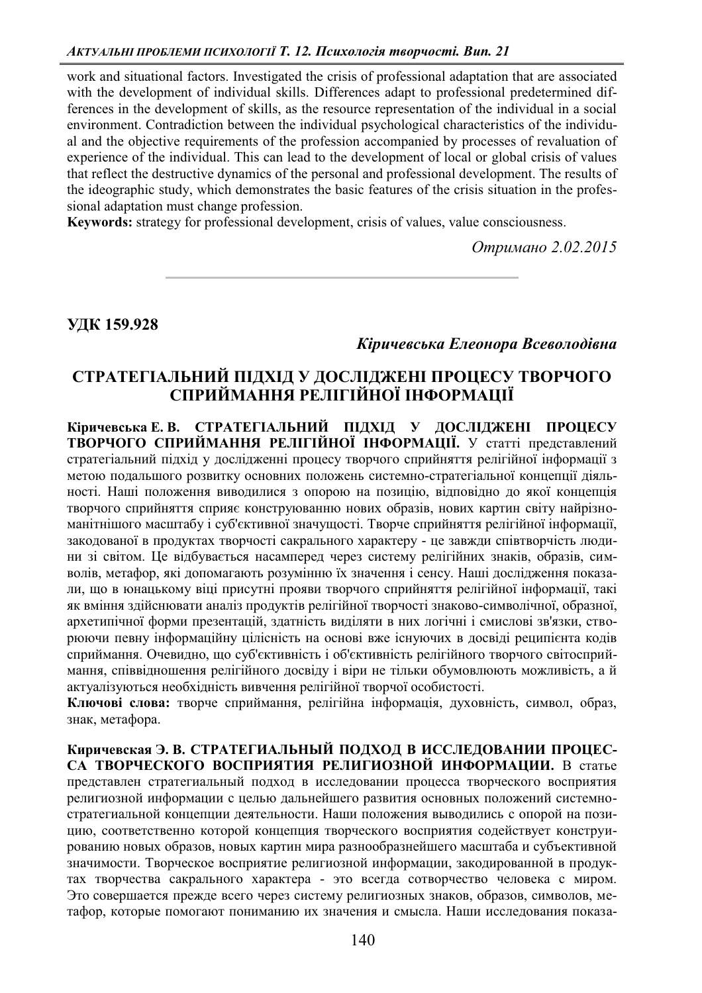work and situational factors. Investigated the crisis of professional adaptation that are associated with the development of individual skills. Differences adapt to professional predetermined differences in the development of skills, as the resource representation of the individual in a social environment. Contradiction between the individual psychological characteristics of the individual and the objective requirements of the profession accompanied by processes of revaluation of experience of the individual. This can lead to the development of local or global crisis of values that reflect the destructive dynamics of the personal and professional development. The results of the ideographic study, which demonstrates the basic features of the crisis situation in the professional adaptation must change profession.

**Keywords:** strategy for professional development, crisis of values, value consciousness.

*Ɉɬɪɢɦɚɧɨ 2.02.2015* 

**УДК 159.928** 

*Ʉɿɪɢɱɟɜɫɶɤɚȿɥɟɨɧɨɪɚȼɫɟɜɨɥɨɞɿɜɧɚ*

## СТРАТЕГІАЛЬНИЙ ПІДХІД У ДОСЛІДЖЕНІ ПРОЦЕСУ ТВОРЧОГО СПРИЙМАННЯ РЕЛІГІЙНОЇ ІНФОРМАЦІЇ

Кіричевська Е. В. СТРАТЕГІАЛЬНИЙ ПІДХІД У ДОСЛІДЖЕНІ ПРОЦЕСУ ТВОРЧОГО СПРИЙМАННЯ РЕЛІГІЙНОЇ ІНФОРМАЦІЇ. У статті представлений стратегіальний підхід у дослідженні процесу творчого сприйняття релігійної інформації з метою подальшого розвитку основних положень системно-стратегіальної концепції діяльності. Наші положення виводилися з опорою на позицію, відповідно до якої концепція творчого сприйняття сприяє конструюванню нових образів, нових картин світу найрізноманітнішого масштабу і суб'єктивної значущості. Творче сприйняття релігійної інформації, закодованої в продуктах творчості сакрального характеру - це завжди співтворчість людини зі світом. Це відбувається насамперед через систему релігійних знаків, образів, символів, метафор, які допомагають розумінню їх значення і сенсу. Наші дослідження показали, що в юнацькому віці присутні прояви творчого сприйняття релігійної інформації, такі як вміння здійснювати аналіз продуктів релігійної творчості знаково-символічної, образної, архетипічної форми презентацій, здатність виділяти в них логічні і смислові зв'язки, створюючи певну інформаційну цілісність на основі вже існуючих в досвіді реципієнта кодів сприймання. Очевидно, що суб'єктивність і об'єктивність релігійного творчого світосприймання, співвідношення релігійного досвіду і віри не тільки обумовлюють можливість, а й актуалізуються необхідність вивчення релігійної творчої особистості.

Ключові слова: творче сприймання, релігійна інформація, духовність, символ, образ, знак, метафора.

Киричевская Э. В. СТРАТЕГИАЛЬНЫЙ ПОДХОД В ИССЛЕДОВАНИИ ПРОЦЕС-СА ТВОРЧЕСКОГО ВОСПРИЯТИЯ РЕЛИГИОЗНОЙ ИНФОРМАЦИИ. В статье представлен стратегиальный подход в исследовании процесса творческого восприятия религиозной информации с целью дальнейшего развития основных положений системностратегиальной концепции деятельности. Наши положения выводились с опорой на позицию, соответственно которой концепция творческого восприятия содействует конструированию новых образов, новых картин мира разнообразнейшего масштаба и субъективной значимости. Творческое восприятие религиозной информации, закодированной в продуктах творчества сакрального характера - это всегда сотворчество человека с миром. Это совершается прежде всего через систему религиозных знаков, образов, символов, метафор, которые помогают пониманию их значения и смысла. Наши исследования показа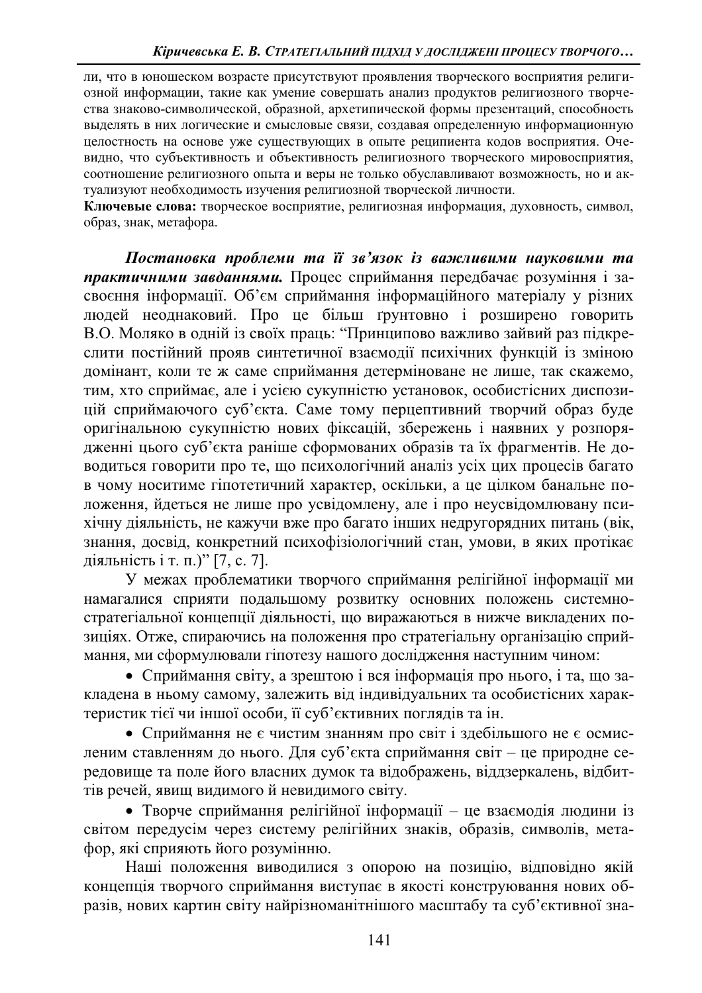ли, что в юношеском возрасте присутствуют проявления творческого восприятия религиозной информации, такие как умение совершать анализ продуктов религиозного творчества знаково-символической, образной, архетипической формы презентаций, способность выделять в них логические и смысловые связи, создавая определенную информационную целостность на основе уже существующих в опыте реципиента кодов восприятия. Очевидно, что субъективность и объективность религиозного творческого мировосприятия, соотношение религиозного опыта и веры не только обуславливают возможность, но и актуализуют необходимость изучения религиозной творческой личности.

**Ключевые слова:** творческое восприятие, религиозная информация, духовность, символ, образ, знак, метафора.

Постановка проблеми та *й* зв'язок із важливими науковими та практичними завданнями. Процес сприймання передбачає розуміння і засвоєння інформації. Об'єм сприймання інформаційного матеріалу у різних людей неоднаковий. Про це більш ґрунтовно і розширено говорить В.О. Моляко в одній із своїх праць: "Принципово важливо зайвий раз підкреслити постійний прояв синтетичної взаємодії психічних функцій із зміною домінант, коли те ж саме сприймання детерміноване не лише, так скажемо, тим, хто сприймає, але і усією сукупністю установок, особистісних диспозицій сприймаючого суб'єкта. Саме тому перцептивний творчий образ буде оригінальною сукупністю нових фіксацій, збережень і наявних у розпорядженні цього суб'єкта раніше сформованих образів та їх фрагментів. Не доводиться говорити про те, що психологічний аналіз усіх цих процесів багато в чому носитиме гіпотетичний характер, оскільки, а це цілком банальне положення, йдеться не лише про усвідомлену, але і про неусвідомлювану психічну діяльність, не кажучи вже про багато інших недругорядних питань (вік, знання, досвід, конкретний психофізіологічний стан, умови, в яких протікає діяльність і т. п.)" [7, с. 7].

У межах проблематики творчого сприймання релігійної інформації ми намагалися сприяти подальшому розвитку основних положень системностратегіальної концепції діяльності, що виражаються в нижче викладених позиціях. Отже, спираючись на положення про стратегіальну організацію сприймання, ми сформулювали гіпотезу нашого дослідження наступним чином:

• Сприймання світу, а зрештою і вся інформація про нього, і та, що закладена в ньому самому, залежить від індивідуальних та особистісних характеристик тієї чи іншої особи, її суб'єктивних поглядів та ін.

• Сприймання не є чистим знанням про світ і здебільшого не є осмисленим ставленням до нього. Для суб'єкта сприймання світ - це природне середовище та поле його власних думок та відображень, віддзеркалень, відбиттів речей, явищ видимого й невидимого світу.

• Творче сприймання релігійної інформації – це взаємодія людини із світом передусім через систему релігійних знаків, образів, символів, метафор, які сприяють його розумінню.

Наші положення виводилися з опорою на позицію, відповідно якій концепція творчого сприймання виступає в якості конструювання нових образів, нових картин світу найрізноманітнішого масштабу та суб'єктивної зна-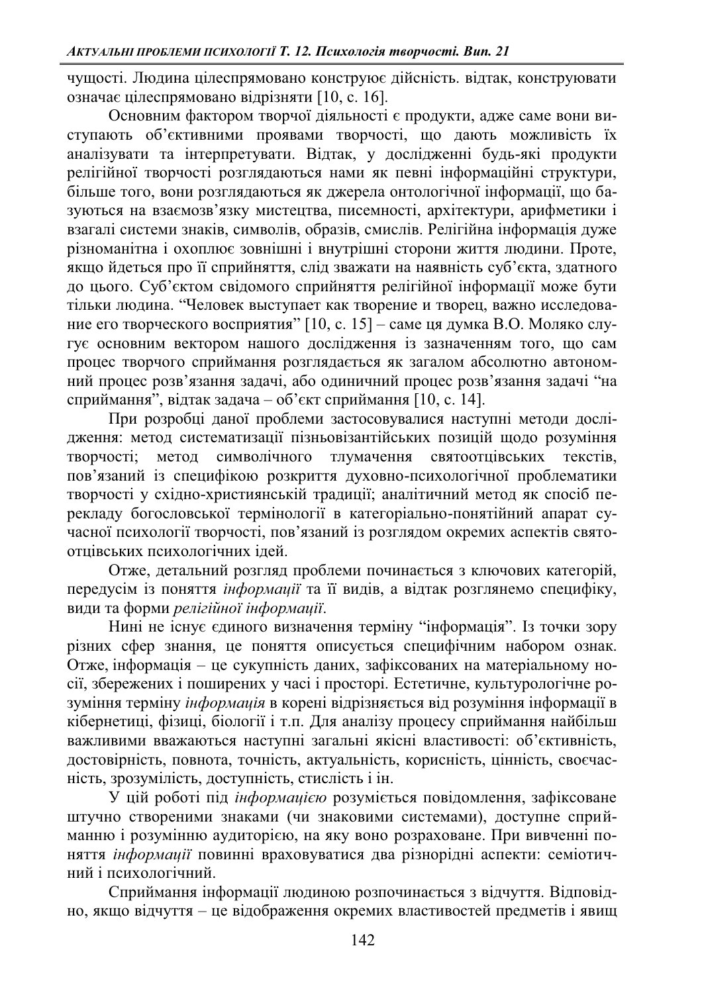чущості. Людина цілеспрямовано конструює дійсність. відтак, конструювати означає цілеспрямовано відрізняти [10, с. 16].

Основним фактором творчої діяльності є продукти, адже саме вони виступають об'єктивними проявами творчості, що дають можливість їх аналізувати та інтерпретувати. Відтак, у дослідженні будь-які продукти релігійної творчості розглядаються нами як певні інформаційні структури, більше того, вони розглядаються як джерела онтологічної інформації, що базуються на взаємозв'язку мистецтва, писемності, архітектури, арифметики і **•** взагалі системи знаків, символів, образів, смислів. Релігійна інформація дуже різноманітна і охоплює зовнішні і внутрішні сторони життя людини. Проте, якщо йдеться про її сприйняття, слід зважати на наявність суб'єкта, здатного до цього. Суб'єктом свідомого сприйняття релігійної інформації може бути тiльки людина. "Человек выступает как творение и творец, важно исследование его творческого восприятия" [10, с. 15] – саме ця думка В.О. Моляко слугує основним вектором нашого дослідження із зазначенням того, що сам процес творчого сприймання розглядається як загалом абсолютно автономний процес розв'язання задачі, або одиничний процес розв'язання задачі "на сприймання", відтак задача – об'єкт сприймання [10, с. 14].

При розробці даної проблеми застосовувалися наступні методи дослідження: метод систематизації пізньовізантійських позицій щодо розуміння творчості; метод символічного тлумачення святоотцівських текстів, пов'язаний із специфікою розкриття духовно-психологічної проблематики творчості у східно-християнській традиції; аналітичний метод як спосіб перекладу богословської термінології в категоріально-понятійний апарат сучасної психології творчості, пов'язаний із розглядом окремих аспектів святоотцівських психологічних ілей.

Отже, детальний розгляд проблеми починається з ключових категорій, передусім із поняття *інформації* та її видів, а відтак розглянемо специфіку, види та форми релігійної інформації.

Нині не існує єдиного визначення терміну "інформація". Із точки зору різних сфер знання, це поняття описується специфічним набором ознак. Отже, інформація – це сукупність даних, зафіксованих на матеріальному ноcii, збережених i поширених у часі i просторі. Естетичне, культурологічне розуміння терміну *інформація* в корені відрізняється від розуміння інформації в кібернетиці, фізиці, біології і т.п. Для аналізу процесу сприймання найбільш важливими вважаються наступні загальні якісні властивості: об'єктивність, достовірність, повнота, точність, актуальність, корисність, цінність, своєчасність, зрозумілість, доступність, стислість і ін.

У цій роботі під *інформацією* розуміється повідомлення, зафіксоване штучно створеними знаками (чи знаковими системами), доступне сприй**манню** i розумінню аудиторією, на яку воно розраховане. При вивченні поняття *інформації* повинні враховуватися два різнорідні аспекти: семіотичний і психологічний.

Сприймання інформації людиною розпочинається з відчуття. Відповідно, якщо відчуття – це відображення окремих властивостей предметів і явищ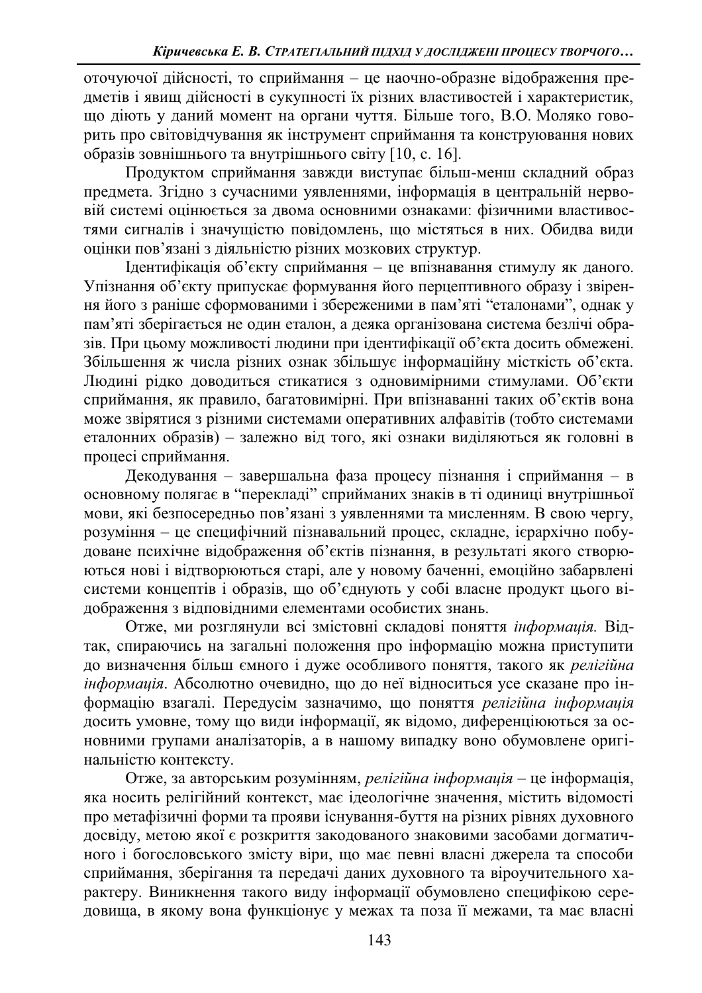оточуючої дійсності, то сприймання - це наочно-образне відображення предметів і явищ дійсності в сукупності їх різних властивостей і характеристик, що діють у даний момент на органи чуття. Більше того, В.О. Моляко говорить про світовідчування як інструмент сприймання та конструювання нових образів зовнішнього та внутрішнього світу  $[10, c, 16]$ .

Продуктом сприймання завжди виступає більш-менш складний образ предмета. Згідно з сучасними уявленнями, інформація в центральній нервовій системі оцінюється за двома основними ознаками: фізичними властивостями сигналів і значущістю повідомлень, що містяться в них. Обидва види оцінки пов'язані з діяльністю різних мозкових структур.

Iдентифікація об'єкту сприймання - це впізнавання стимулу як даного. Упізнання об'єкту припускає формування його перцептивного образу і звіренняйого з раніше сформованими і збереженими в пам'яті "еталонами", однак у пам'яті зберігається не один еталон, а деяка організована система безлічі образів. При цьому можливості людини при ідентифікації об'єкта досить обмежені. Збільшення ж числа різних ознак збільшує інформаційну місткість об'єкта. Людині рідко доводиться стикатися з одновимірними стимулами. Об'єкти сприймання, як правило, багатовимірні. При впізнаванні таких об'єктів вона може звірятися з різними системами оперативних алфавітів (тобто системами еталонних образів) - залежно від того, які ознаки виділяються як головні в процесі сприймання.

Декодування - завершальна фаза процесу пізнання і сприймання - в основному полягає в "перекладі" сприйманих знаків в ті одиниці внутрішньої мови, які безпосередньо пов'язані з уявленнями та мисленням. В свою чергу, розуміння – це специфічний пізнавальний процес, складне, ієрархічно побу-• is an extremental contracted in the text is the text of the text of the text of the text of the text of the text of the text of the text of the text of the text of the text of the text of the text of the text of the tex ються нові і відтворюються старі, але у новому баченні, емоційно забарвлені системи концептів і образів, що об'єднують у собі власне продукт цього відображення з відповідними елементами особистих знань.

Отже, ми розглянули всі змістовні складові поняття *інформація*. Відтак, спираючись на загальні положення про інформацію можна приступити до визначення більш ємного і дуже особливого поняття, такого як релігійна *інформація*. Абсолютно очевидно, що до неї відноситься усе сказане про інформацію взагалі. Передусім зазначимо, що поняття релігійна інформація **и и тема + 10 кил и 10 кили інформації, як відомо, диференціюються за ос**новними групами аналізаторів, а в нашому випадку воно обумовлене оригінальністю контексту.

Отже, за авторським розумінням, *релігійна інформація* - це інформація, яка носить релігійний контекст, має ідеологічне значення, містить відомості про метафізичні форми та прояви існування-буття на різних рівнях духовного тосвіду, метою якої є розкриття закодованого знаковими засобами догматичного і богословського змісту віри, що має певні власні джерела та способи сприймання, зберігання та передачі даних духовного та віроучительного характеру. Виникнення такого виду інформації обумовлено специфікою сереɞɨɜɢɳɚɜɹɤɨɦɭɜɨɧɚɮɭɧɤɰɿɨɧɭɽ ɭɦɟɠɚɯ ɬɚ ɩɨɡɚʀʀɦɟɠɚɦɢ ɬɚɦɚɽɜɥɚɫɧɿ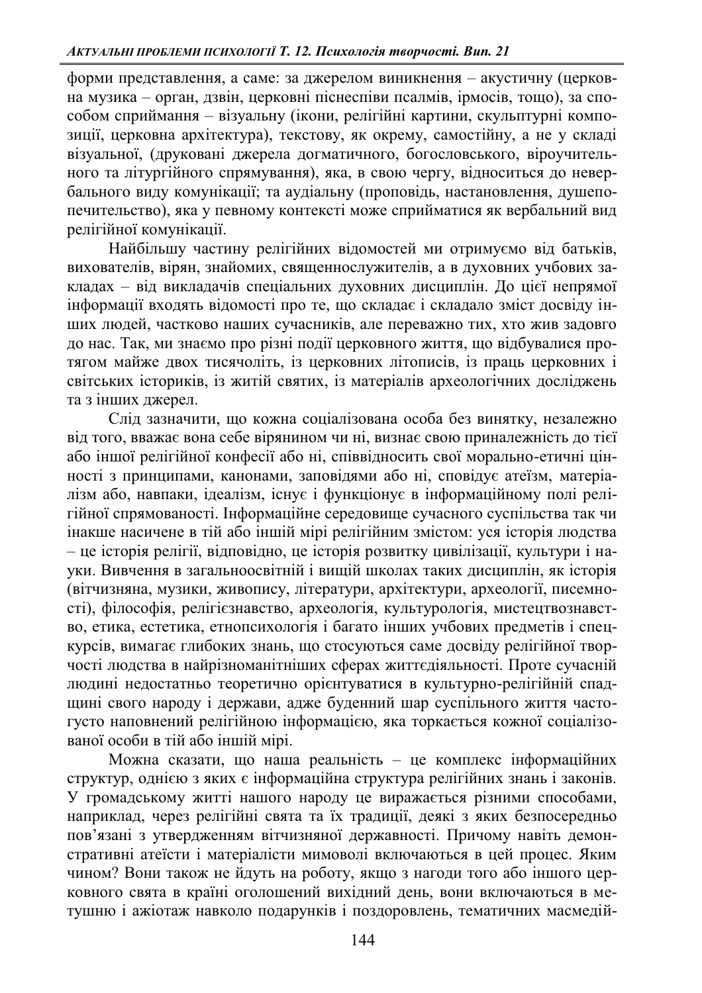форми представлення, а саме: за джерелом виникнення – акустичну (церковна музика – орган, дзвін, церковні піснеспіви псалмів, ірмосів, тощо), за способом сприймання – візуальну (ікони, релігійні картини, скульптурні композиції, церковна архітектура), текстову, як окрему, самостійну, а не у складі візуальної, (друковані джерела догматичного, богословського, віроучительного та літургійного спрямування), яка, в свою чергу, відноситься до невербального виду комунікації; та аудіальну (проповідь, настановлення, душепопечительство), яка у певному контексті може сприйматися як вербальний вид релігійної комунікації.

Найбільшу частину релігійних відомостей ми отримуємо від батьків, вихователів, вірян, знайомих, священнослужителів, а в духовних учбових закладах - від викладачів спеціальних духовних дисциплін. До цієї непрямої інформації входять відомості про те, що складає і складало зміст досвіду інших людей, частково наших сучасників, але переважно тих, хто жив задовго до нас. Так, ми знаємо про різні події церковного життя, що відбувалися протягом майже двох тисячоліть, із церковних літописів, із праць церковних і світських істориків, із житій святих, із матеріалів археологічних досліджень та з інших джерел.

Слід зазначити, що кожна соціалізована особа без винятку, незалежно **від того**, вважає вона себе вірянином чи ні, визнає свою приналежність до тієї або іншої релігійної конфесії або ні, співвідносить свої морально-етичні цінності з принципами, канонами, заповідями або ні, сповідує атеїзм, матеріалізм або, навпаки, ідеалізм, існує і функціонує в інформаційному полі релігійної спрямованості. Інформаційне середовище сучасного суспільства так чи інакше насичене в тій або іншій мірі релігійним змістом: уся історія людства  $-$ це історія релігії, відповідно, це історія розвитку цивілізації, культури і науки. Вивчення в загальноосвітній і вищій школах таких дисциплін, як історія (вітчизняна, музики, живопису, літератури, архітектури, археології, писемності), філософія, релігієзнавство, археологія, культурологія, мистецтвознавство, етика, естетика, етнопсихологія і багато інших учбових предметів і спецкурсів, вимагає глибоких знань, що стосуються саме досвіду релігійної творчості людства в найрізноманітніших сферах життєдіяльності. Проте сучасній людині недостатньо теоретично орієнтуватися в культурно-релігійній спадщині свого народу і держави, адже буденний шар суспільного життя частогусто наповнений релігійною інформацією, яка торкається кожної соціалізованої особи в тій або іншій мірі.

Можна сказати, що наша реальність - це комплекс інформаційних структур, однією з яких є інформаційна структура релігійних знань і законів. У громадському житті нашого народу це виражається різними способами, наприклад, через релігійні свята та їх традиції, деякі з яких безпосередньо пов'язані з утвердженням вітчизняної державності. Причому навіть демонстративні атеїсти і матеріалісти мимоволі включаються в цей процес. Яким чином? Вони також не йдуть на роботу, якщо з нагоди того або іншого церковного свята в країні оголошений вихідний день, вони включаються в метушню і ажіотаж навколо подарунків і поздоровлень, тематичних масмедій-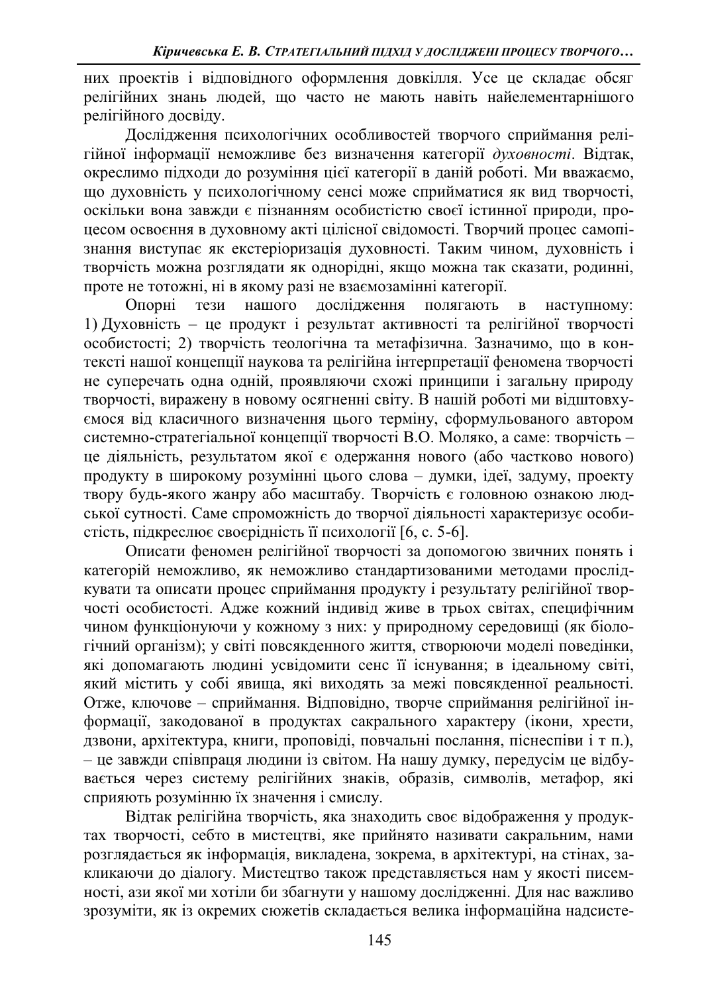них проектів і відповідного оформлення довкілля. Усе це складає обсяг релігійних знань людей, що часто не мають навіть найелементарнішого релігійного досвіду.

Дослідження психологічних особливостей творчого сприймання релігійної інформації неможливе без визначення категорії духовності. Відтак, окреслимо підходи до розуміння цієї категорії в даній роботі. Ми вважаємо, що духовність у психологічному сенсі може сприйматися як вид творчості, оскільки вона завжди є пізнанням особистістю своєї істинної природи, процесом освоєння в духовному акті цілісної свідомості. Творчий процес самопізнання виступає як екстеріоризація духовності. Таким чином, духовність і творчість можна розглядати як однорідні, якщо можна так сказати, родинні, проте не тотожні, ні в якому разі не взаємозамінні категорії.

Опорні тези нашого дослідження полягають в наступному: 1) Духовність - це продукт і результат активності та релігійної творчості особистості; 2) творчість теологічна та метафізична. Зазначимо, що в контексті нашої концепції наукова та релігійна інтерпретації феномена творчості не суперечать одна одній, проявляючи схожі принципи і загальну природу творчості, виражену в новому осягненні світу. В нашій роботі ми відштовхуємося від класичного визначення цього терміну, сформульованого автором системно-стратегіальної концепції творчості В.О. Моляко, а саме: творчість це діяльність, результатом якої є одержання нового (або частково нового) продукту в широкому розумінні цього слова - думки, ідеї, задуму, проекту твору будь-якого жанру або масштабу. Творчість є головною ознакою людської сутності. Саме спроможність до творчої діяльності характеризує особистість, підкреслює своєрідність її психології [6, с. 5-6].

Описати феномен релігійної творчості за допомогою звичних понять і категорій неможливо, як неможливо стандартизованими методами прослідкувати та описати процес сприймання продукту і результату релігійної творчості особистості. Адже кожний індивід живе в трьох світах, специфічним чином функціонуючи у кожному з них: у природному середовищі (як біологічний організм); у світі повсякденного життя, створюючи моделі поведінки, які допомагають людині усвідомити сенс її існування; в ідеальному світі, який містить у собі явища, які виходять за межі повсякденної реальності. Отже, ключове – сприймання. Відповідно, творче сприймання релігійної інформації, закодованої в продуктах сакрального характеру (ікони, хрести, дзвони, архітектура, книги, проповіді, повчальні послання, піснеспіви і т п.), – це завжди співпраця людини із світом. На нашу думку, передусім це відбувається через систему релігійних знаків, образів, символів, метафор, які сприяють розумінню їх значення і смислу.

Відтак релігійна творчість, яка знаходить своє відображення у продуктах творчості, себто в мистецтві, яке прийнято називати сакральним, нами розглядається як інформація, викладена, зокрема, в архітектурі, на стінах, закликаючи до діалогу. Мистецтво також представляється нам у якості писемності, ази якої ми хотіли би збагнути у нашому дослідженні. Для нас важливо зрозуміти, як із окремих сюжетів складається велика інформаційна надсисте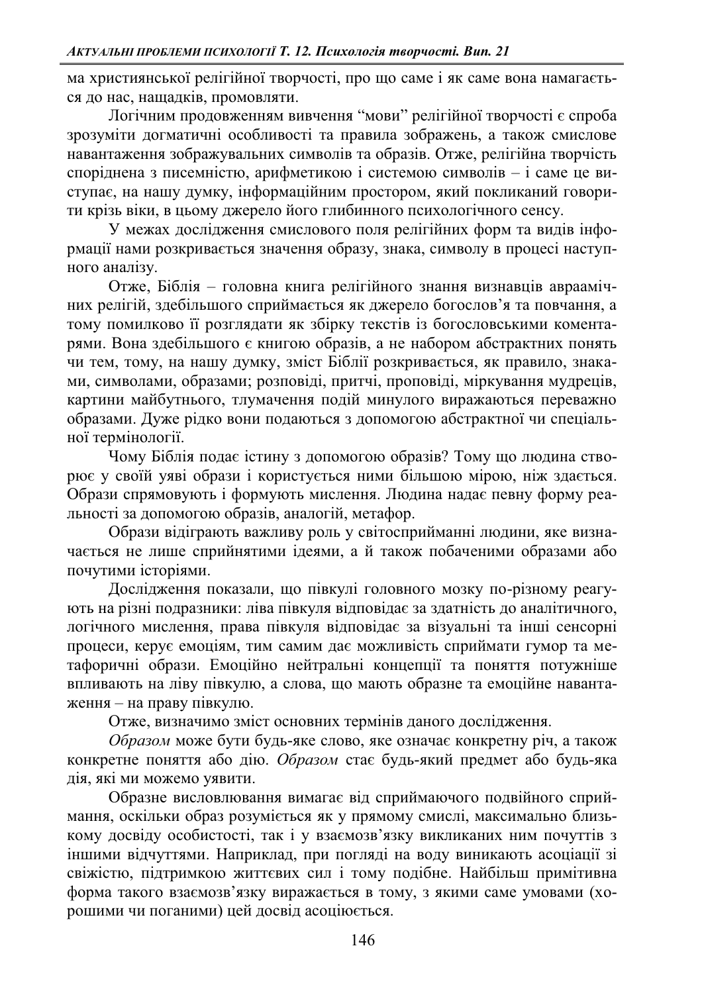ма християнської релігійної творчості, про що саме і як саме вона намагається до нас, нащадків, промовляти.

Логічним продовженням вивчення "мови" релігійної творчості є спроба зрозуміти догматичні особливості та правила зображень, а також смислове навантаження зображувальних символів та образів. Отже, релігійна творчість споріднена з писемністю, арифметикою і системою символів - і саме це виступає, на нашу думку, інформаційним простором, який покликаний говорити крізь віки, в цьому джерело його глибинного психологічного сенсу.

У межах дослідження смислового поля релігійних форм та видів інформації нами розкривається значення образу, знака, символу в процесі наступного аналізу.

Отже, Біблія - головна книга релігійного знання визнавців авраамічних релігій, здебільшого сприймається як джерело богослов'я та повчання, а тому помилково її розглядати як збірку текстів із богословськими коментарями. Вона здебільшого є книгою образів, а не набором абстрактних понять чи тем, тому, на нашу думку, зміст Біблії розкривається, як правило, знаками, символами, образами; розповіді, притчі, проповіді, міркування мудреців, картини майбутнього, тлумачення подій минулого виражаються переважно образами. Дуже рідко вони подаються з допомогою абстрактної чи спеціальної термінології.

Чому Біблія подає істину з допомогою образів? Тому що людина створює у своїй уяві образи і користується ними більшою мірою, ніж здається. Образи спрямовують і формують мислення. Людина надає певну форму реальності за допомогою образів, аналогій, метафор.

Образи відіграють важливу роль у світосприйманні людини, яке визначається не лише сприйнятими ідеями, а й також побаченими образами або почутими історіями.

Дослідження показали, що півкулі головного мозку по-різному реагують на різні подразники: ліва півкуля відповідає за здатність до аналітичного, логічного мислення, права півкуля відповідає за візуальні та інші сенсорні процеси, керує емоціям, тим самим дає можливість сприймати гумор та метафоричні образи. Емоційно нейтральні концепції та поняття потужніше впливають на ліву півкулю, а слова, що мають образне та емоційне навантаження – на праву півкулю.

Отже, визначимо зміст основних термінів даного дослідження.

Образом може бути будь-яке слово, яке означає конкретну річ, а також конкретне поняття або дію. Образом стає будь-який предмет або будь-яка дія, які ми можемо уявити.

Образне висловлювання вимагає від сприймаючого подвійного сприймання, оскільки образ розуміється як у прямому смислі, максимально близькому досвіду особистості, так і у взаємозв'язку викликаних ним почуттів з іншими відчуттями. Наприклад, при погляді на воду виникають асоціації зі свіжістю, підтримкою життєвих сил і тому подібне. Найбільш примітивна форма такого взаємозв'язку виражається в тому, з якими саме умовами (хорошими чи поганими) цей досвід асоціюється.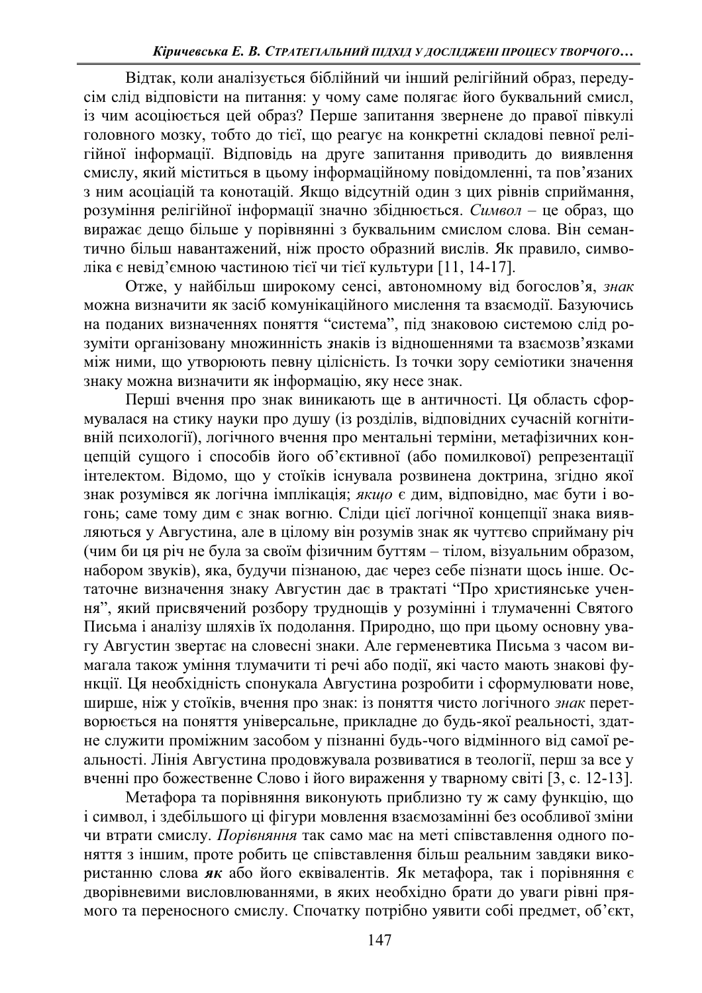Відтак, коли аналізується біблійний чи інший релігійний образ, передусім слід відповісти на питання: у чому саме полягає його буквальний смисл, із чим асоціюється цей образ? Перше запитання звернене до правої півкулі головного мозку, тобто до тієї, що реагує на конкретні складові певної релігійної інформації. Відповідь на друге запитання приводить до виявлення смислу, який міститься в цьому інформаційному повідомленні, та пов'язаних з ним асоціацій та конотацій. Якщо відсутній один з цих рівнів сприймання, розуміння релігійної інформації значно збіднюється. Символ - це образ, що ɜɢɪɚɠɚɽɞɟɳɨɛɿɥɶɲɟɭɩɨɪɿɜɧɹɧɧɿ ɡɛɭɤɜɚɥɶɧɢɦɫɦɢɫɥɨɦɫɥɨɜɚȼɿɧ ɫɟɦɚɧ тично більш навантажений, ніж просто образний вислів. Як правило, символіка є невід'ємною частиною тієї чи тієї культури [11, 14-17].

Отже, у найбільш широкому сенсі, автономному від богослов'я, знак можна визначити як засіб комунікаційного мислення та взаємодії. Базуючись на поданих визначеннях поняття "система", під знаковою системою слід розуміти організовану множинність знаків із відношеннями та взаємозв'язками між ними, що утворюють певну цілісність. Із точки зору семіотики значення знаку можна визначити як інформацію, яку несе знак.

Перші вчення про знак виникають ще в античності. Ця область сформувалася на стику науки про душу (із розділів, відповідних сучасній когнітивній психології), логічного вчення про ментальні терміни, метафізичних концепцій сущого і способів його об'єктивної (або помилкової) репрезентації інтелектом. Відомо, що у стоїків існувала розвинена доктрина, згідно якої знак розумівся як логічна імплікація; якщо є дим, відповідно, має бути і вогонь; саме тому дим є знак вогню. Сліди цієї логічної концепції знака виявляються у Августина, але в цілому він розумів знак як чуттєво сприйману річ (чим би ця річ не була за своїм фізичним буттям - тілом, візуальним образом, набором звуків), яка, будучи пізнаною, дає через себе пізнати щось інше. Остаточне визначення знаку Августин дає в трактаті "Про християнське учення", який присвячений розбору труднощів у розумінні і тлумаченні Святого Письма і аналізу шляхів їх подолання. Природно, що при цьому основну увагу Августин звертає на словесні знаки. Але герменевтика Письма з часом вимагала також уміння тлумачити ті речі або події, які часто мають знакові функції. Ця необхідність спонукала Августина розробити і сформулювати нове, ширше, ніж у стоїків, вчення про знак: із поняття чисто логічного знак перетворюється на поняття універсальне, прикладне до будь-якої реальності, здатне служити проміжним засобом у пізнанні будь-чого відмінного від самої реальності. Лінія Августина продовжувала розвиватися в теології, перш за все у вченні про божественне Слово і його вираження у тварному світі [3, с. 12-13].

Метафора та порівняння виконують приблизно ту ж саму функцію, що і символ, і здебільшого ці фігури мовлення взаємозамінні без особливої зміни чи втрати смислу. Порівняння так само має на меті співставлення одного поняття з іншим, проте робить це співставлення більш реальним завдяки використанню слова як або його еквівалентів. Як метафора, так і порівняння є дворівневими висловлюваннями, в яких необхідно брати до уваги рівні прямого та переносного смислу. Спочатку потрібно уявити собі предмет, об'єкт,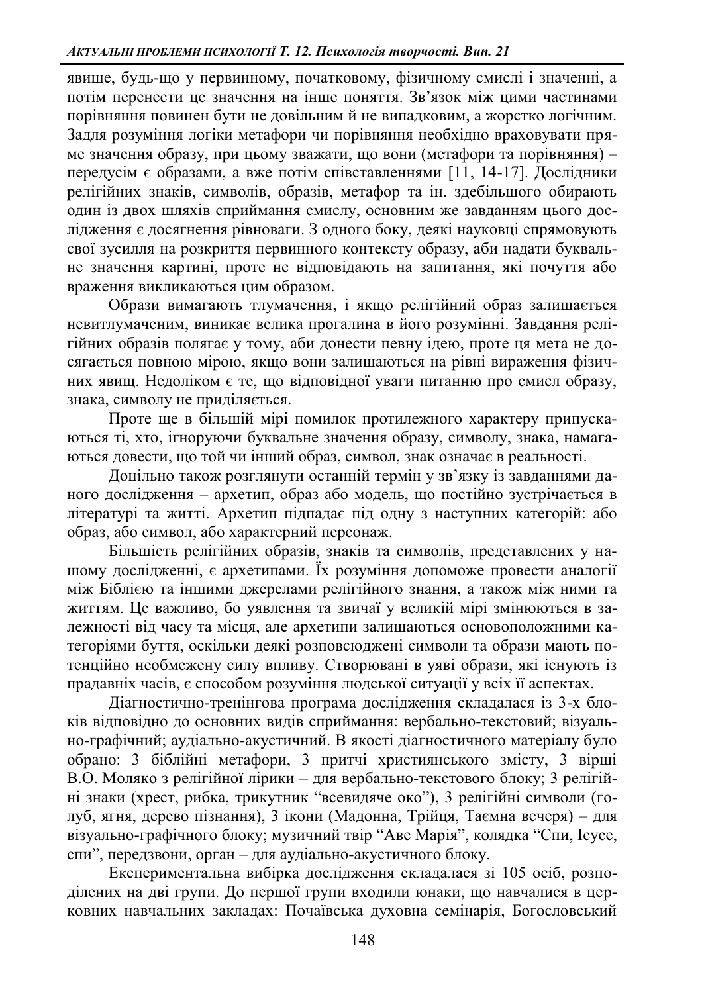явище, будь-що у первинному, початковому, фізичному смислі і значенні, а потім перенести це значення на інше поняття. Зв'язок між цими частинами порівняння повинен бути не довільним й не випадковим, а жорстко логічним. Задля розуміння логіки метафори чи порівняння необхідно враховувати пряме значення образу, при цьому зважати, що вони (метафори та порівняння) – передусім є образами, а вже потім співставленнями [11, 14-17]. Дослідники релігійних знаків, символів, образів, метафор та ін. здебільшого обирають один із двох шляхів сприймання смислу, основним же завданням цього дослідження є досягнення рівноваги. З одного боку, деякі науковці спрямовують свої зусилля на розкриття первинного контексту образу, аби надати буквальне значення картині, проте не відповідають на запитання, які почуття або враження викликаються цим образом.

Образи вимагають тлумачення, і якщо релігійний образ залишається невитлумаченим, виникає велика прогалина в його розумінні. Завдання релігійних образів полягає у тому, аби донести певну ідею, проте ця мета не досягається повною мірою, якщо вони залишаються на рівні вираження фізичних явищ. Недоліком є те, що відповідної уваги питанню про смисл образу, знака, символу не приділяється.

Проте ще в більшій мірі помилок протилежного характеру припускаються ті, хто, ігноруючи буквальне значення образу, символу, знака, намагаються довести, що той чи інший образ, символ, знак означає в реальності.

Доцільно також розглянути останній термін у зв'язку із завданнями даного дослідження – архетип, образ або модель, що постійно зустрічається в літературі та житті. Архетип підпадає під одну з наступних категорій: або образ, або символ, або характерний персонаж.

Більшість релігійних образів, знаків та символів, представлених у нашому дослідженні, є архетипами. Їх розуміння допоможе провести аналогії між Біблією та іншими джерелами релігійного знання, а також між ними та життям. Це важливо, бо уявлення та звичаї у великій мірі змінюються в залежності від часу та місця, але архетипи залишаються основоположними категоріями буття, оскільки деякі розповсюджені символи та образи мають потенційно необмежену силу впливу. Створювані в уяві образи, які існують із прадавніх часів, є способом розуміння людської ситуації у всіх її аспектах.

Діагностично-тренінгова програма дослідження складалася із 3-х блоків відповідно до основних видів сприймання: вербально-текстовий; візуально-графічний; аудіально-акустичний. В якості діагностичного матеріалу було обрано: 3 біблійні метафори, 3 притчі християнського змісту, 3 вірші В.О. Моляко з релігійної лірики – для вербально-текстового блоку; 3 релігійні знаки (хрест, рибка, трикутник "всевидяче око"), 3 релігійні символи (голуб, ягня, дерево пізнання), 3 ікони (Мадонна, Трійця, Таємна вечеря) - для візуально-графічного блоку; музичний твір "Аве Марія", колядка "Спи, Ісусе, спи", передзвони, орган – для аудіально-акустичного блоку.

Експериментальна вибірка дослідження складалася зі 105 осіб, розподілених на дві групи. До першої групи входили юнаки, що навчалися в церковних навчальних закладах: Почаївська духовна семінарія, Богословський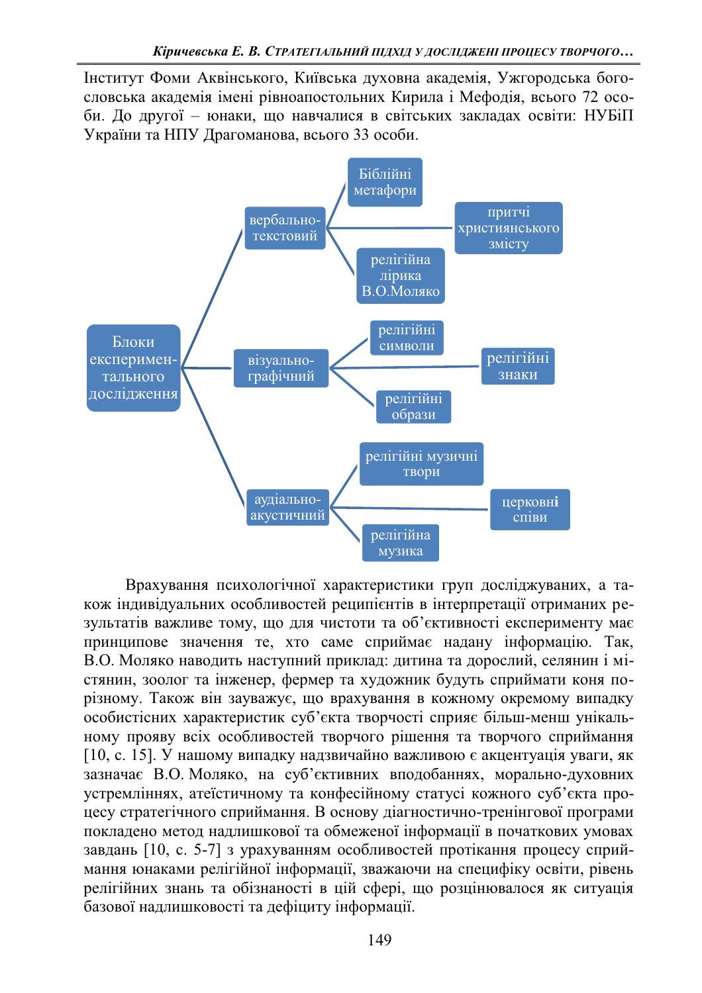Інститут Фоми Аквінського, Київська духовна академія, Ужгородська богословська академія імені рівноапостольних Кирила і Мефодія, всього 72 особи. До другої - юнаки, що навчалися в світських закладах освіти: НУБіП України та НПУ Драгоманова, всього 33 особи.



Врахування психологічної характеристики груп досліджуваних, а також індивідуальних особливостей реципієнтів в інтерпретації отриманих результатів важливе тому, що для чистоти та об'єктивності експерименту має принципове значення те, хто саме сприймає надану інформацію. Так, В.О. Моляко наводить наступний приклад: дитина та дорослий, селянин і містянин, зоолог та інженер, фермер та художник будуть сприймати коня порізному. Також він зауважує, що врахування в кожному окремому випадку особистісних характеристик суб'єкта творчості сприяє більш-менш унікальному прояву всіх особливостей творчого рішення та творчого сприймання  $[10, c, 15]$ . У нашому випадку надзвичайно важливою є акцентуація уваги, як зазначає В.О. Моляко, на суб'єктивних вподобаннях, морально-духовних устремліннях, атеїстичному та конфесійному статусі кожного суб'єкта пронесу стратегічного сприймання. В основу діагностично-тренінгової програми покладено метод надлишкової та обмеженої інформації в початкових умовах завдань [10, с. 5-7] з урахуванням особливостей протікання процесу сприймання юнаками релігійної інформації, зважаючи на специфіку освіти, рівень релігійних знань та обізнаності в цій сфері, що розцінювалося як ситуація базової надлишковості та дефіциту інформації.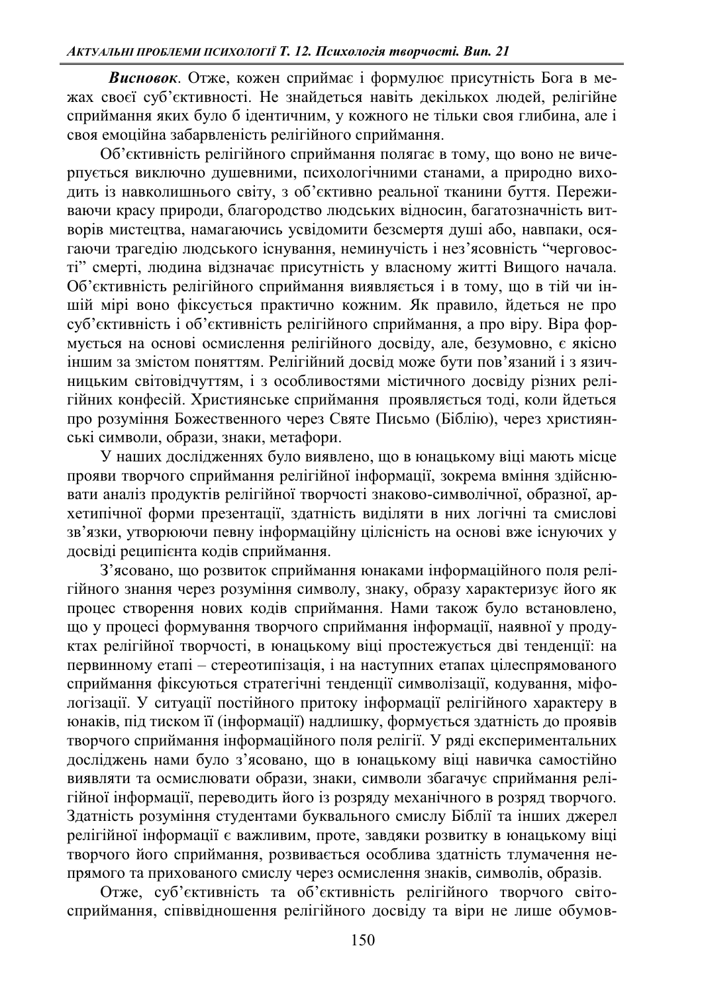**Висновок**. Отже, кожен сприймає і формулює присутність Бога в межах своєї суб'єктивності. Не знайдеться навіть декількох людей, релігійне сприймання яких було б ідентичним, у кожного не тільки своя глибина, але і своя емоційна забарвленість релігійного сприймання.

Об'єктивність релігійного сприймання полягає в тому, що воно не вичерпується виключно душевними, психологічними станами, а природно виходить із навколишнього світу, з об'єктивно реальної тканини буття. Переживаючи красу природи, благородство людських відносин, багатозначність витворів мистецтва, намагаючись усвідомити безсмертя душі або, навпаки, осягаючи трагедію людського існування, неминучість і нез'ясовність "черговості" смерті, людина відзначає присутність у власному житті Вищого начала. Об'єктивність релігійного сприймання виявляється і в тому, що в тій чи іншій мірі воно фіксується практично кожним. Як правило, йдеться не про суб'єктивність і об'єктивність релігійного сприймання, а про віру. Віра формується на основі осмислення релігійного досвіду, але, безумовно, є якісно іншим за змістом поняттям. Релігійний досвід може бути пов'язаний і з язичницьким світовідчуттям, і з особливостями містичного досвіду різних релігійних конфесій. Християнське сприймання проявляється тоді, коли йдеться про розуміння Божественного через Святе Письмо (Біблію), через християнські символи, образи, знаки, метафори.

У наших дослідженнях було виявлено, що в юнацькому віці мають місце прояви творчого сприймання релігійної інформації, зокрема вміння здійснювати аналіз продуктів релігійної творчості знаково-символічної, образної, архетипічної форми презентації, здатність виділяти в них логічні та смислові зв'язки, утворюючи певну інформаційну цілісність на основі вже існуючих у досвіді реципієнта кодів сприймання.

З'ясовано, що розвиток сприймання юнаками інформаційного поля релігійного знання через розуміння символу, знаку, образу характеризує його як процес створення нових кодів сприймання. Нами також було встановлено, що у процесі формування творчого сприймання інформації, наявної у продуктах релігійної творчості, в юнацькому віці простежується дві тенденції: на первинному етапі – стереотипізація, і на наступних етапах цілеспрямованого сприймання фіксуються стратегічні тенденції символізації, кодування, міфологізації. У ситуації постійного притоку інформації релігійного характеру в юнаків, під тиском її (інформації) надлишку, формується здатність до проявів творчого сприймання інформаційного поля релігії. У ряді експериментальних досліджень нами було з'ясовано, що в юнацькому віці навичка самостійно виявляти та осмислювати образи, знаки, символи збагачує сприймання релігійної інформації, переводить його із розряду механічного в розряд творчого. Здатність розуміння студентами буквального смислу Біблії та інших джерел релігійної інформації є важливим, проте, завдяки розвитку в юнацькому віці творчого його сприймання, розвивається особлива здатність тлумачення непрямого та прихованого смислу через осмислення знаків, символів, образів.

Отже, суб'єктивність та об'єктивність релігійного творчого світосприймання, співвідношення релігійного досвіду та віри не лише обумов-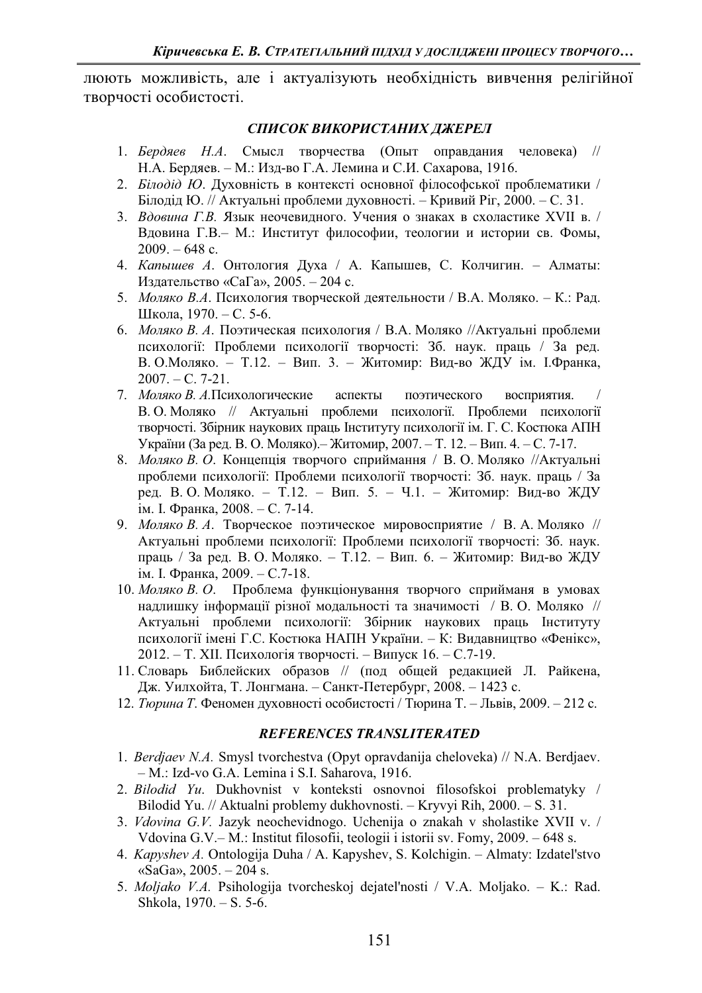люють можливість, але і актуалізують необхідність вивчення релігійної творчості особистості.

## СПИСОК ВИКОРИСТАНИХ ДЖЕРЕЛ

- 1. *Бердяев Н.А.* Смысл творчества (Опыт оправдания человека) // Н.А. Бердяев. – М.: Изд-во Г.А. Лемина и С.И. Сахарова, 1916.
- 2. *Білодід Ю*. Духовність в контексті основної філософської проблематики / Білодід Ю. // Актуальні проблеми духовності. – Кривий Ріг, 2000. – С. 31.
- 3. *Вдовина Г.В.* Язык неочевидного. Учения о знаках в схоластике XVII в. / Вдовина Г.В. – М.: Институт философии, теологии и истории св. Фомы,  $2009. - 648$  c.
- 4. *Капышев А.* Онтология Духа / А. Капышев, С. Колчигин. Алматы: Излательство «СаГа», 2005. – 204 с.
- 5. *Моляко В.А*. Психология творческой деятельности / В.А. Моляко. К.: Рад. Школа, 1970. – С. 5-6.
- 6. *Моляко В. А.* Поэтическая психология / В.А. Моляко //Актуальні проблеми психології: Проблеми психології творчості: Зб. наук. праць / За ред. В. О.Моляко. - Т.12. - Вип. 3. - Житомир: Вид-во ЖДУ ім. І.Франка,  $2007. - C. 7-21.$
- 7. *Моляко В. А*. Психологические аспекты поэтического восприятия. В. О. Моляко // Актуальні проблеми психології. Проблеми психології творчості. Збірник наукових праць Інституту психології ім. Г. С. Костюка АПН України (За ред. В. О. Моляко). – Житомир, 2007. – Т. 12. – Вип. 4. – С. 7-17.
- 8. *Моляко В. О.* Концепція творчого сприймання / В. О. Моляко //Актуальні проблеми психології: Проблеми психології творчості: Зб. наук. праць / За ред. В. О. Моляко. - Т.12. - Вип. 5. - Ч.1. - Житомир: Вид-во ЖДУ ім. І. Франка, 2008. – С. 7-14.
- 9. *Моляко В. А.* Творческое поэтическое мировосприятие / В. А. Моляко // Актуальні проблеми психології: Проблеми психології творчості: Зб. наук. праць / За ред. В. О. Моляко. - Т.12. - Вип. 6. - Житомир: Вид-во ЖДУ ім. І. Франка, 2009. – С.7-18.
- 10. Моляко В. О. Проблема функціонування творчого сприйманя в умовах надлишку інформації різної модальності та значимості / В. О. Моляко // Актуальні проблеми психології: Збірник наукових праць Інституту психології імені Г.С. Костюка НАПН України. - К: Видавництво «Фенікс», 2012. - Т. XII. Психологія творчості. - Випуск 16. - С.7-19.
- 11. Словарь Библейских образов // (под общей редакцией Л. Райкена, Дж. Уилхойта, Т. Лонгмана. – Санкт-Петербург, 2008. – 1423 с.
- 12. *Тюрина Т*. Феномен духовності особистості / Тюрина Т. Львів, 2009. 212 с.

## *5()(5(1&(675\$16/,7(5\$7('*

- 1. *Berdjaev N.A.* Smysl tvorchestva (Opyt opravdanija cheloveka) // N.A. Berdjaev. ± M.: Izd-vo G.A. Lemina i S.I. Saharova, 1916.
- 2. *Bilodid Yu*. Dukhovnist v konteksti osnovnoi filosofskoi problematyky / Bilodid Yu. // Aktualni problemy dukhovnosti.  $-$  Kryvyi Rih, 2000.  $-$  S. 31.
- 3. *Vdovina G.V.* Jazyk neochevidnogo. Uchenija o znakah v sholastike XVII v. / Vdovina G.V. $-$  M.: Institut filosofii, teologii i istorii sv. Fomy, 2009.  $-648$  s.
- 4. *Kapyshev A.* Ontologija Duha / A. Kapyshev, S. Kolchigin. Almaty: Izdatel'stvo «SaGa»,  $2005. - 204$  s.
- 5. Moljako V.A. Psihologija tvorcheskoj dejateľnosti / V.A. Moljako. K.: Rad. Shkola,  $1970. - S. 5-6.$